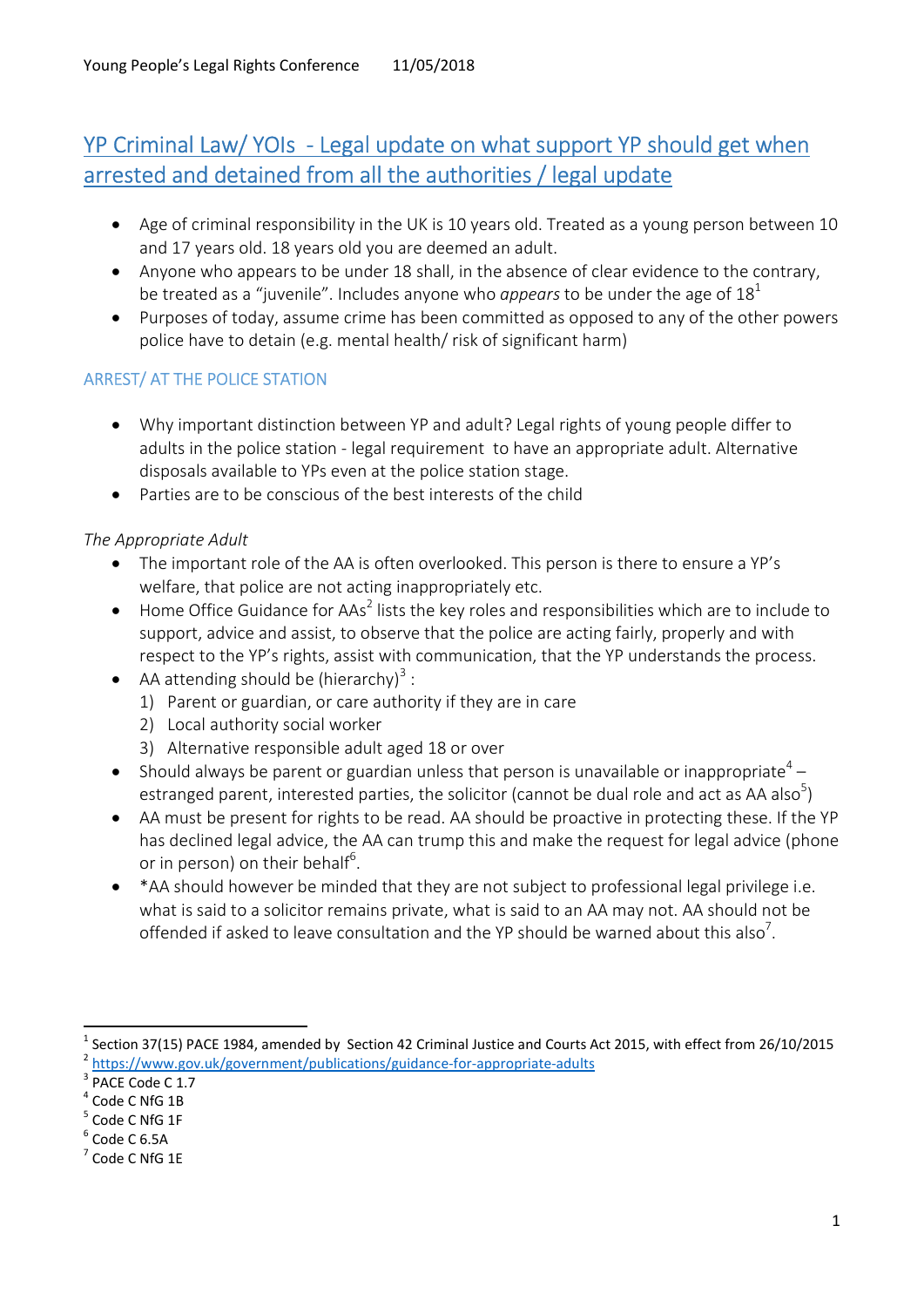# YP Criminal Law/ YOIs - Legal update on what support YP should get when arrested and detained from all the authorities / legal update

- Age of criminal responsibility in the UK is 10 years old. Treated as a young person between 10 and 17 years old. 18 years old you are deemed an adult.
- Anyone who appears to be under 18 shall, in the absence of clear evidence to the contrary, be treated as a "juvenile". Includes anyone who *appears* to be under the age of  $18<sup>1</sup>$
- Purposes of today, assume crime has been committed as opposed to any of the other powers police have to detain (e.g. mental health/ risk of significant harm)

## ARREST/ AT THE POLICE STATION

- Why important distinction between YP and adult? Legal rights of young people differ to adults in the police station - legal requirement to have an appropriate adult. Alternative disposals available to YPs even at the police station stage.
- Parties are to be conscious of the best interests of the child

## The Appropriate Adult

- The important role of the AA is often overlooked. This person is there to ensure a YP's welfare, that police are not acting inappropriately etc.
- $\bullet$  Home Office Guidance for AAs<sup>2</sup> lists the key roles and responsibilities which are to include to support, advice and assist, to observe that the police are acting fairly, properly and with respect to the YP's rights, assist with communication, that the YP understands the process.
- AA attending should be (hierarchy)<sup>3</sup>:
	- 1) Parent or guardian, or care authority if they are in care
	- 2) Local authority social worker
	- 3) Alternative responsible adult aged 18 or over
- Should always be parent or guardian unless that person is unavailable or inappropriate<sup>4</sup> estranged parent, interested parties, the solicitor (cannot be dual role and act as AA also<sup>5</sup>)
- AA must be present for rights to be read. AA should be proactive in protecting these. If the YP has declined legal advice, the AA can trump this and make the request for legal advice (phone or in person) on their behalf<sup>6</sup>.
- \*AA should however be minded that they are not subject to professional legal privilege i.e. what is said to a solicitor remains private, what is said to an AA may not. AA should not be offended if asked to leave consultation and the YP should be warned about this also<sup>7</sup>.

<sup>1</sup> Section 37(15) PACE 1984, amended by Section 42 Criminal Justice and Courts Act 2015, with effect from 26/10/2015 <sup>2</sup> https://www.gov.uk/government/publications/guidance-for-appropriate-adults

<sup>&</sup>lt;sup>3</sup> PACE Code C 1.7

<sup>4</sup> Code C NfG 1B

<sup>&</sup>lt;sup>5</sup> Code C NfG 1F

 $^6$  Code C 6.5A

 $7$  Code C NfG 1E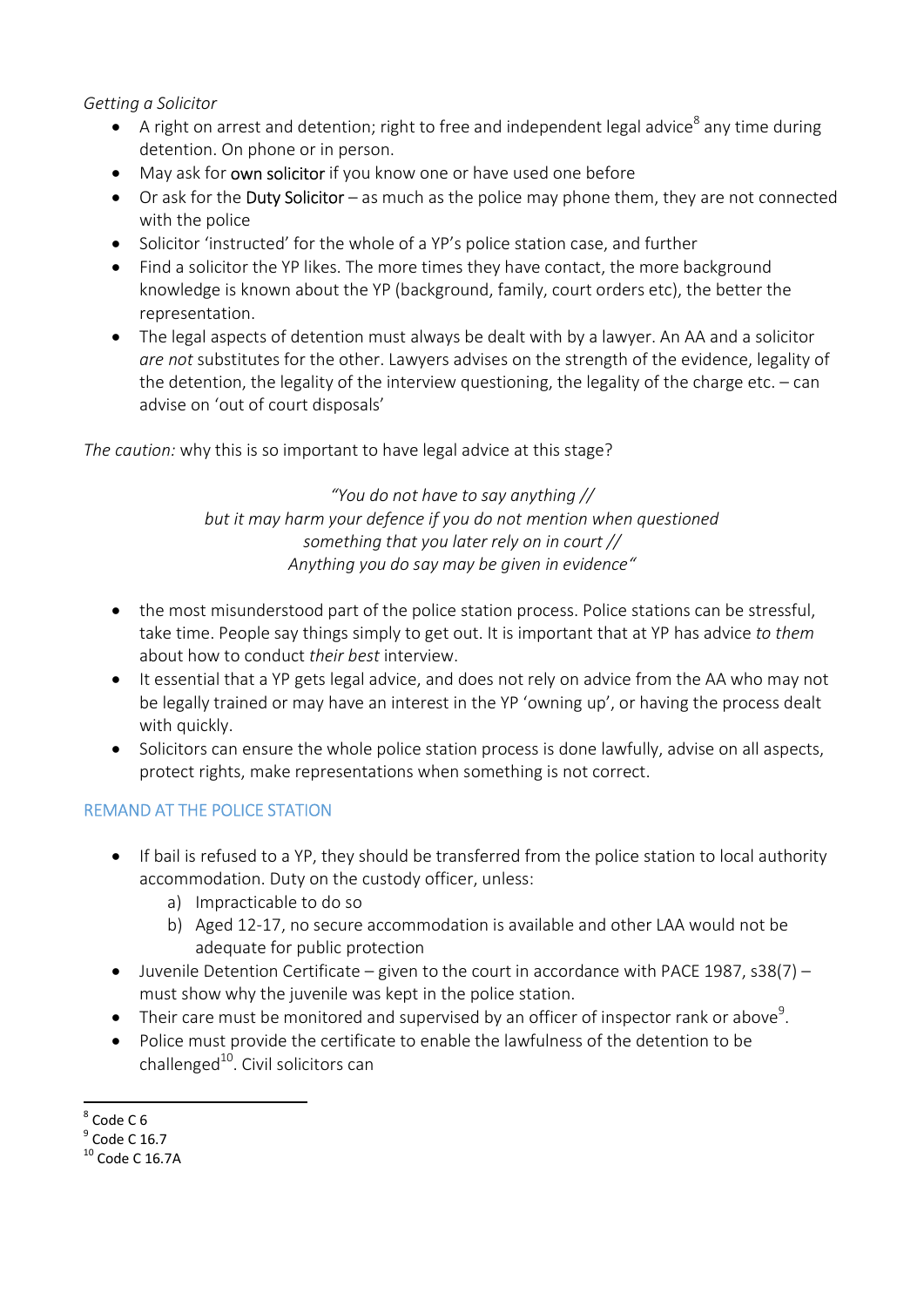#### Getting a Solicitor

- $\bullet$  A right on arrest and detention; right to free and independent legal advice<sup>8</sup> any time during detention. On phone or in person.
- May ask for own solicitor if you know one or have used one before
- Or ask for the Duty Solicitor as much as the police may phone them, they are not connected with the police
- Solicitor 'instructed' for the whole of a YP's police station case, and further
- Find a solicitor the YP likes. The more times they have contact, the more background knowledge is known about the YP (background, family, court orders etc), the better the representation.
- The legal aspects of detention must always be dealt with by a lawyer. An AA and a solicitor are not substitutes for the other. Lawyers advises on the strength of the evidence, legality of the detention, the legality of the interview questioning, the legality of the charge etc. – can advise on 'out of court disposals'

The caution: why this is so important to have legal advice at this stage?

"You do not have to say anything // but it may harm your defence if you do not mention when questioned something that you later rely on in court // Anything you do say may be given in evidence"

- the most misunderstood part of the police station process. Police stations can be stressful, take time. People say things simply to get out. It is important that at YP has advice to them about how to conduct their best interview.
- It essential that a YP gets legal advice, and does not rely on advice from the AA who may not be legally trained or may have an interest in the YP 'owning up', or having the process dealt with quickly.
- Solicitors can ensure the whole police station process is done lawfully, advise on all aspects, protect rights, make representations when something is not correct.

## REMAND AT THE POLICE STATION

- If bail is refused to a YP, they should be transferred from the police station to local authority accommodation. Duty on the custody officer, unless:
	- a) Impracticable to do so
	- b) Aged 12-17, no secure accommodation is available and other LAA would not be adequate for public protection
- $\bullet$  Juvenile Detention Certificate given to the court in accordance with PACE 1987, s38(7) must show why the juvenile was kept in the police station.
- $\bullet$  Their care must be monitored and supervised by an officer of inspector rank or above<sup>9</sup>.
- Police must provide the certificate to enable the lawfulness of the detention to be challenged $^{10}$ . Civil solicitors can

<sup>-</sup> $8^8$  Code C 6

 $^9$  Code C 16.7

<sup>10</sup> Code C 16.7A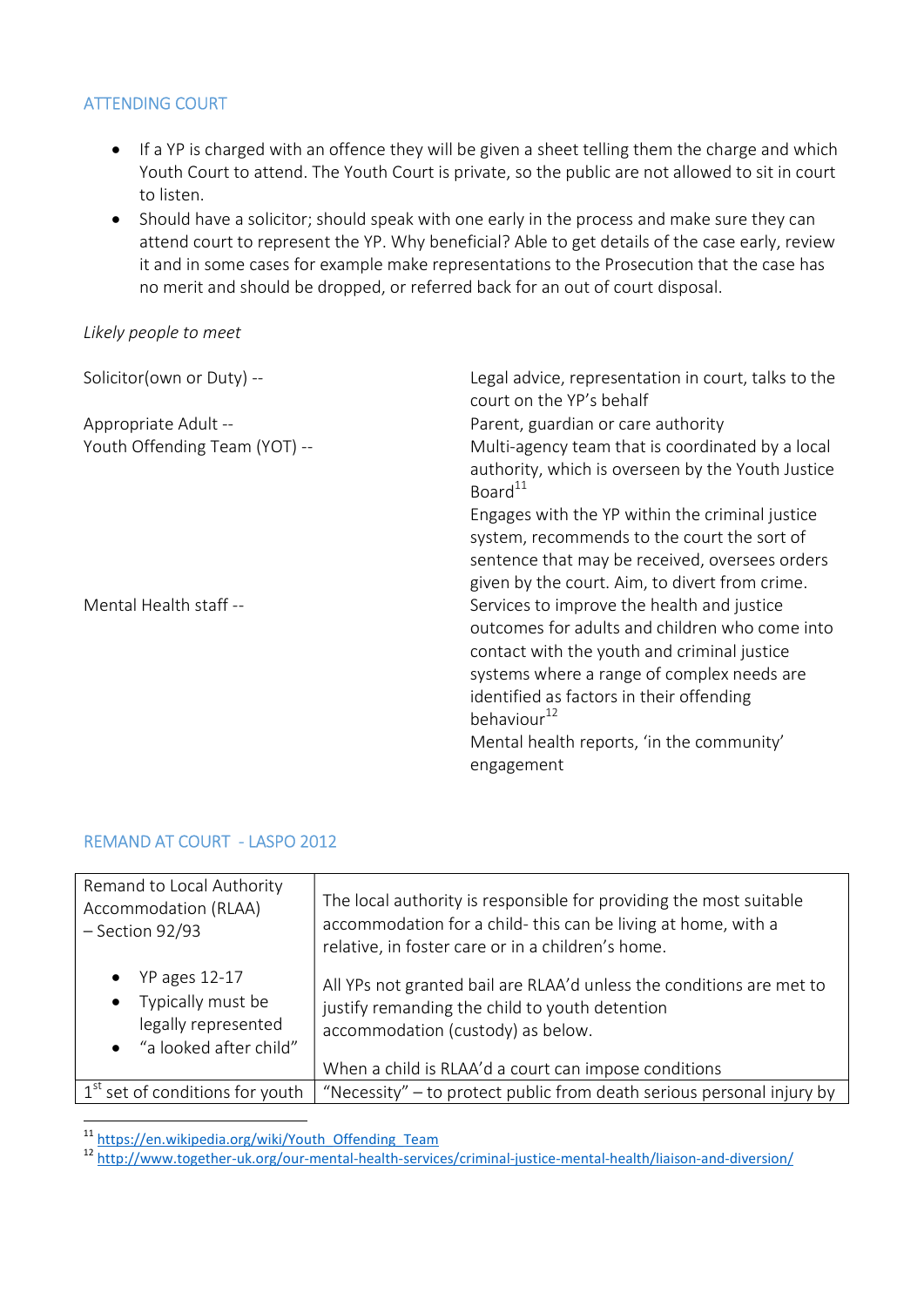#### ATTENDING COURT

- If a YP is charged with an offence they will be given a sheet telling them the charge and which Youth Court to attend. The Youth Court is private, so the public are not allowed to sit in court to listen.
- Should have a solicitor; should speak with one early in the process and make sure they can attend court to represent the YP. Why beneficial? Able to get details of the case early, review it and in some cases for example make representations to the Prosecution that the case has no merit and should be dropped, or referred back for an out of court disposal.

#### Likely people to meet

| Solicitor(own or Duty) --     | Legal advice, representation in court, talks to the<br>court on the YP's behalf                                                                                                                                                                                                                                             |
|-------------------------------|-----------------------------------------------------------------------------------------------------------------------------------------------------------------------------------------------------------------------------------------------------------------------------------------------------------------------------|
| Appropriate Adult --          | Parent, guardian or care authority                                                                                                                                                                                                                                                                                          |
| Youth Offending Team (YOT) -- | Multi-agency team that is coordinated by a local<br>authority, which is overseen by the Youth Justice<br>Board <sup>11</sup>                                                                                                                                                                                                |
|                               | Engages with the YP within the criminal justice<br>system, recommends to the court the sort of<br>sentence that may be received, oversees orders<br>given by the court. Aim, to divert from crime.                                                                                                                          |
| Mental Health staff --        | Services to improve the health and justice<br>outcomes for adults and children who come into<br>contact with the youth and criminal justice<br>systems where a range of complex needs are<br>identified as factors in their offending<br>behaviour <sup>12</sup><br>Mental health reports, 'in the community'<br>engagement |

#### REMAND AT COURT - LASPO 2012

| Remand to Local Authority<br>Accommodation (RLAA)<br>$-$ Section 92/93                                                 | The local authority is responsible for providing the most suitable<br>accommodation for a child-this can be living at home, with a<br>relative, in foster care or in a children's home. |
|------------------------------------------------------------------------------------------------------------------------|-----------------------------------------------------------------------------------------------------------------------------------------------------------------------------------------|
| <b>YP</b> ages 12-17<br>$\bullet$<br>Typically must be<br>$\bullet$<br>legally represented<br>• "a looked after child" | All YPs not granted bail are RLAA'd unless the conditions are met to<br>justify remanding the child to youth detention<br>accommodation (custody) as below.                             |
|                                                                                                                        | When a child is RLAA'd a court can impose conditions                                                                                                                                    |
| $1st$ set of conditions for youth                                                                                      | "Necessity" – to protect public from death serious personal injury by                                                                                                                   |

<sup>&</sup>lt;sup>11</sup> https://en.wikipedia.org/wiki/Youth\_Offending\_Team

<sup>&</sup>lt;sup>12</sup> http://www.together-uk.org/our-mental-health-services/criminal-justice-mental-health/liaison-and-diversion/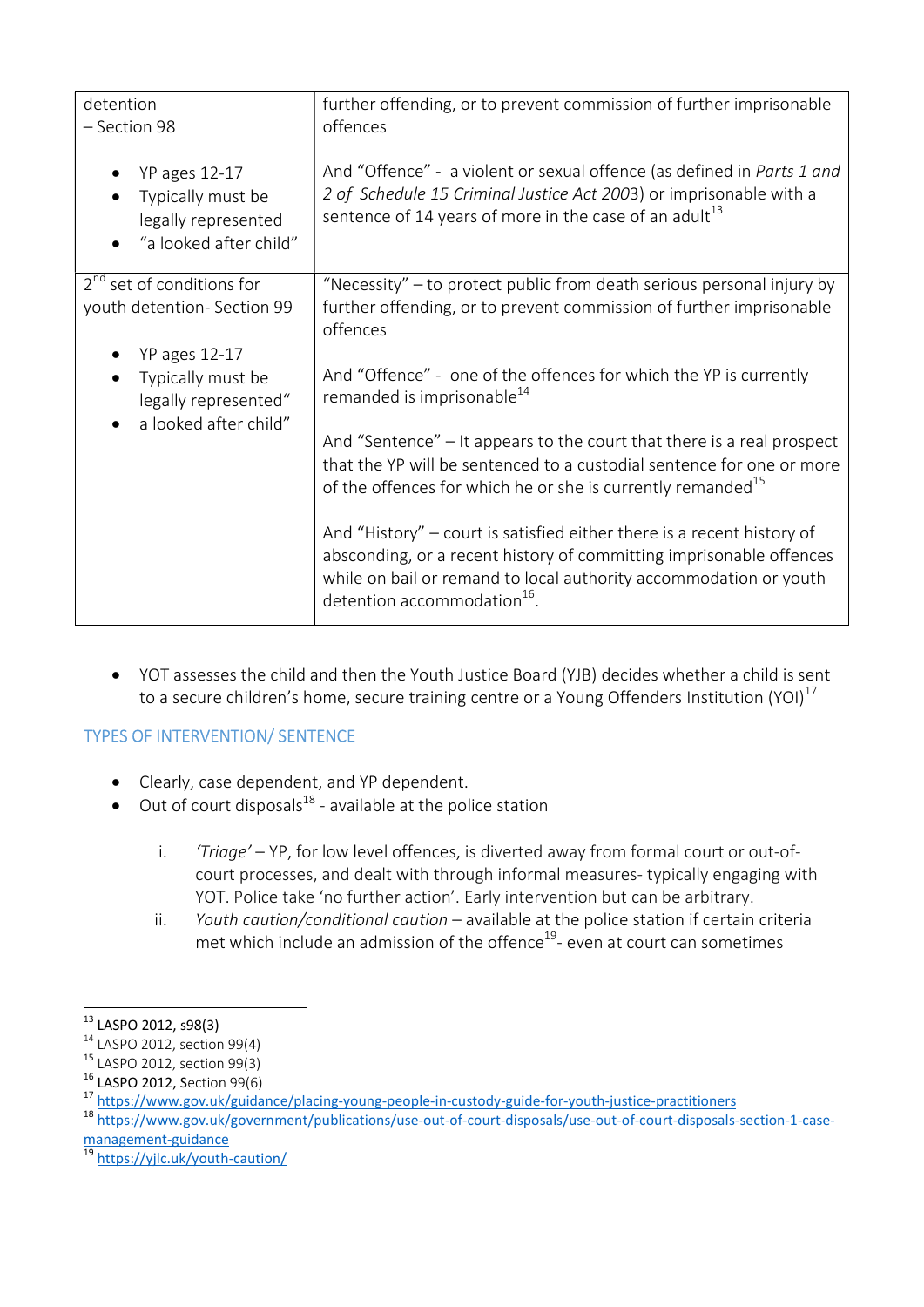| detention<br>- Section 98                                                                  | further offending, or to prevent commission of further imprisonable<br>offences                                                                                                                                                                               |
|--------------------------------------------------------------------------------------------|---------------------------------------------------------------------------------------------------------------------------------------------------------------------------------------------------------------------------------------------------------------|
| <b>YP</b> ages 12-17<br>Typically must be<br>legally represented<br>"a looked after child" | And "Offence" - a violent or sexual offence (as defined in Parts 1 and<br>2 of Schedule 15 Criminal Justice Act 2003) or imprisonable with a<br>sentence of 14 years of more in the case of an adult <sup>13</sup>                                            |
| $2^{nd}$ set of conditions for<br>youth detention- Section 99                              | "Necessity" – to protect public from death serious personal injury by<br>further offending, or to prevent commission of further imprisonable<br>offences                                                                                                      |
| <b>YP</b> ages 12-17<br>Typically must be<br>$\bullet$<br>legally represented"             | And "Offence" - one of the offences for which the YP is currently<br>remanded is imprisonable <sup>14</sup>                                                                                                                                                   |
| a looked after child"                                                                      | And "Sentence" - It appears to the court that there is a real prospect<br>that the YP will be sentenced to a custodial sentence for one or more<br>of the offences for which he or she is currently remanded <sup>15</sup>                                    |
|                                                                                            | And "History" – court is satisfied either there is a recent history of<br>absconding, or a recent history of committing imprisonable offences<br>while on bail or remand to local authority accommodation or youth<br>detention accommodation <sup>16</sup> . |

 YOT assesses the child and then the Youth Justice Board (YJB) decides whether a child is sent to a secure children's home, secure training centre or a Young Offenders Institution (YOI) $^{17}$ 

## TYPES OF INTERVENTION/ SENTENCE

- Clearly, case dependent, and YP dependent.
- $\bullet$  Out of court disposals<sup>18</sup> available at the police station
	- i. 'Triage' YP, for low level offences, is diverted away from formal court or out-ofcourt processes, and dealt with through informal measures- typically engaging with YOT. Police take 'no further action'. Early intervention but can be arbitrary.
	- ii. Youth caution/conditional caution  $-$  available at the police station if certain criteria met which include an admission of the offence<sup>19</sup>- even at court can sometimes

-

<sup>&</sup>lt;sup>13</sup> LASPO 2012, s98(3)

 $14$  LASPO 2012, section 99(4)

<sup>15</sup> LASPO 2012, section 99(3)

<sup>16</sup> LASPO 2012, Section 99(6)

<sup>17</sup> https://www.gov.uk/guidance/placing-young-people-in-custody-guide-for-youth-justice-practitioners

<sup>18</sup> https://www.gov.uk/government/publications/use-out-of-court-disposals/use-out-of-court-disposals-section-1-casemanagement-guidance

<sup>&</sup>lt;sup>19</sup> https://yjlc.uk/youth-caution/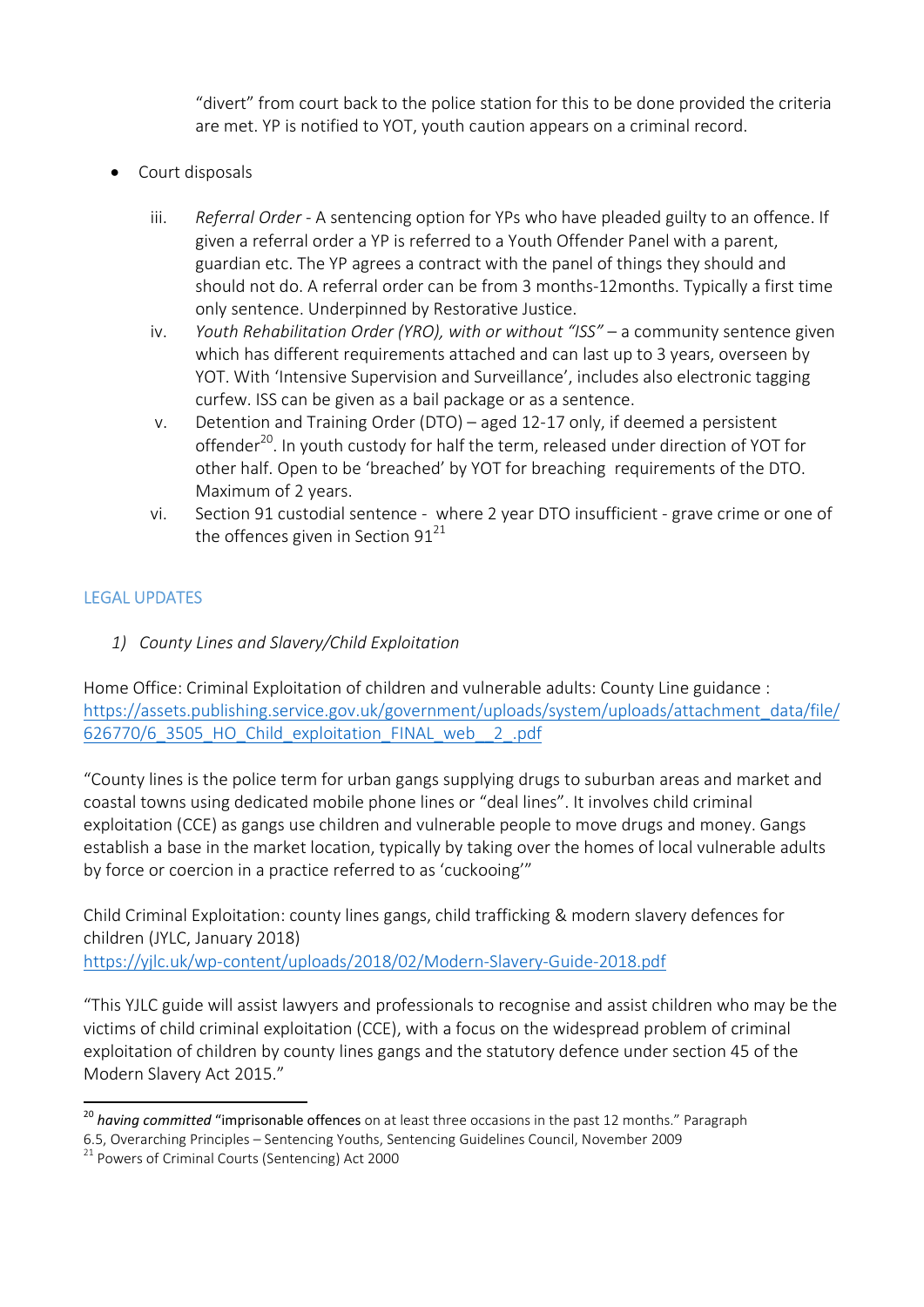"divert" from court back to the police station for this to be done provided the criteria are met. YP is notified to YOT, youth caution appears on a criminal record.

- Court disposals
	- iii. Referral Order A sentencing option for YPs who have pleaded guilty to an offence. If given a referral order a YP is referred to a Youth Offender Panel with a parent, guardian etc. The YP agrees a contract with the panel of things they should and should not do. A referral order can be from 3 months-12months. Typically a first time only sentence. Underpinned by Restorative Justice.
	- iv. Youth Rehabilitation Order (YRO), with or without "ISS" a community sentence given which has different requirements attached and can last up to 3 years, overseen by YOT. With 'Intensive Supervision and Surveillance', includes also electronic tagging curfew. ISS can be given as a bail package or as a sentence.
	- v. Detention and Training Order (DTO) aged 12-17 only, if deemed a persistent offender<sup>20</sup>. In youth custody for half the term, released under direction of YOT for other half. Open to be 'breached' by YOT for breaching requirements of the DTO. Maximum of 2 years.
	- vi. Section 91 custodial sentence where 2 year DTO insufficient grave crime or one of the offences given in Section 9 $1^{21}$

### LEGAL UPDATES

1) County Lines and Slavery/Child Exploitation

Home Office: Criminal Exploitation of children and vulnerable adults: County Line guidance : https://assets.publishing.service.gov.uk/government/uploads/system/uploads/attachment\_data/file/ 626770/6\_3505\_HO\_Child\_exploitation\_FINAL\_web\_\_2\_.pdf

"County lines is the police term for urban gangs supplying drugs to suburban areas and market and coastal towns using dedicated mobile phone lines or "deal lines". It involves child criminal exploitation (CCE) as gangs use children and vulnerable people to move drugs and money. Gangs establish a base in the market location, typically by taking over the homes of local vulnerable adults by force or coercion in a practice referred to as 'cuckooing'"

Child Criminal Exploitation: county lines gangs, child trafficking & modern slavery defences for children (JYLC, January 2018) https://yjlc.uk/wp-content/uploads/2018/02/Modern-Slavery-Guide-2018.pdf

"This YJLC guide will assist lawyers and professionals to recognise and assist children who may be the victims of child criminal exploitation (CCE), with a focus on the widespread problem of criminal exploitation of children by county lines gangs and the statutory defence under section 45 of the Modern Slavery Act 2015."

<sup>-</sup> $20$  having committed "imprisonable offences on at least three occasions in the past 12 months." Paragraph

<sup>6.5,</sup> Overarching Principles – Sentencing Youths, Sentencing Guidelines Council, November 2009

<sup>&</sup>lt;sup>21</sup> Powers of Criminal Courts (Sentencing) Act 2000